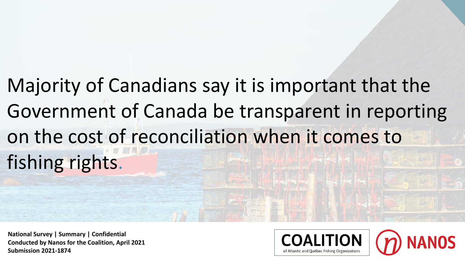Majority of Canadians say it is important that the Government of Canada be transparent in reporting on the cost of reconciliation when it comes to fishing rights.

**National Survey | Summary | Confidential Conducted by Nanos for the Coalition, April 2021 Submission 2021-1874**



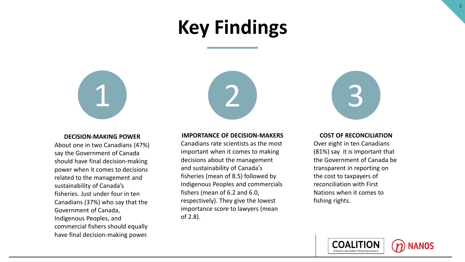# **Key Findings**



#### **DECISION-MAKING POWER**

About one in two Canadians (47%) say the Government of Canada should have final decision-making power when it comes to decisions related to the management and sustainability of Canada's fisheries. Just under four in ten Canadians (37%) who say that the Government of Canada, Indigenous Peoples, and commercial fishers should equally have final decision-making power.



#### **IMPORTANCE OF DECISION-MAKERS**

Canadians rate scientists as the most important when it comes to making decisions about the management and sustainability of Canada's fisheries (mean of 8.5) followed by Indigenous Peoples and commercials fishers (mean of 6.2 and 6.0, respectively). They give the lowest importance score to lawyers (mean of 2.8).



#### **COST OF RECONCILIATION**

Over eight in ten Canadians (81%) say it is important that the Government of Canada be transparent in reporting on the cost to taxpayers of reconciliation with First Nations when it comes to fishing rights.

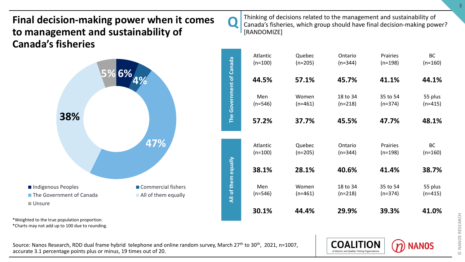## **Final decision-making power when it comes to management and sustainability of Canada's fisheries**



Thinking of decisions related to the management and sustainability of Canada's fisheries, which group should have final decision-making power? [RANDOMIZE]

**Q** 

|                          | Atlantic<br>$(n=100)$ | Quebec<br>$(n=205)$ | Ontario<br>$(n=344)$  | <b>Prairies</b><br>$(n=198)$ | <b>BC</b><br>$(n=160)$ |
|--------------------------|-----------------------|---------------------|-----------------------|------------------------------|------------------------|
|                          | 44.5%                 | 57.1%               | 45.7%                 | 41.1%                        | 44.1%                  |
| The Government of Canada | Men<br>$(n=546)$      | Women<br>$(n=461)$  | 18 to 34<br>$(n=218)$ | 35 to 54<br>$(n=374)$        | 55 plus<br>$(n=415)$   |
|                          | 57.2%                 | 37.7%               | 45.5%                 | 47.7%                        | 48.1%                  |
|                          | Atlantic              | Quebec              | Ontario               | Prairies                     | <b>BC</b>              |
|                          | $(n=100)$             | $(n=205)$           | $(n=344)$             | $(n=198)$                    | $(n=160)$              |
|                          | 38.1%                 | 28.1%               | 40.6%                 | 41.4%                        | 38.7%                  |
| All of them equally      | Men<br>$(n=546)$      | Women<br>$(n=461)$  | 18 to 34<br>$(n=218)$ | 35 to 54<br>$(n=374)$        | 55 plus<br>$(n=415)$   |
|                          | 30.1%                 | 44.4%               | 29.9%                 | 39.3%                        | 41.0%                  |

\*Weighted to the true population proportion. \*Charts may not add up to 100 due to rounding.

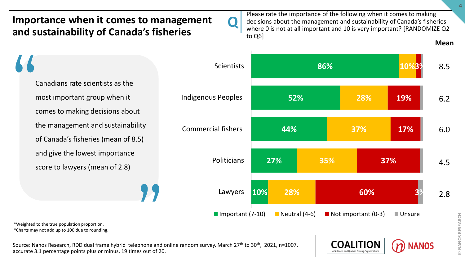

Please rate the importance of the following when it comes to making decisions about the management and sustainability of Canada's fisheries where 0 is not at all important and 10 is very important? [RANDOMIZE Q2 to Q6]

# Canadians rate scientists as the most important group when it comes to making decisions about the management and sustainability of Canada's fisheries (mean of 8.5) and give the lowest importance "

score to lawyers (mean of 2.8)

\*Weighted to the true population proportion. \*Charts may not add up to 100 due to rounding.

**??** Source: Nanos Research, RDD dual frame hybrid telephone and online random survey, March 27th to 30th, 2021, n=1007, accurate 3.1 percentage points plus or minus, 19 times out of 20.





**Mean**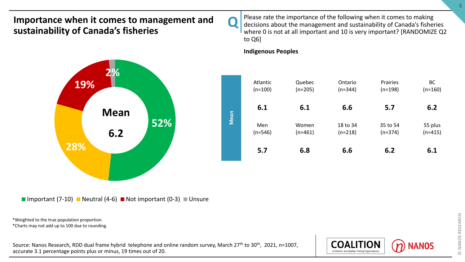**2%**

**Mean**

**6.2**

Please rate the importance of the following when it comes to making decisions about the management and sustainability of Canada's fisheries where 0 is not at all important and 10 is very important? [RANDOMIZE Q2 to Q6]

### **Indigenous Peoples**

**Q** 





\*Weighted to the true population proportion.

\*Charts may not add up to 100 due to rounding.

**28%**

**19%**

Source: Nanos Research, RDD dual frame hybrid telephone and online random survey, March 27<sup>th</sup> to 30<sup>th</sup>, 2021, n=1007, accurate 3.1 percentage points plus or minus, 19 times out of 20.

**52%**

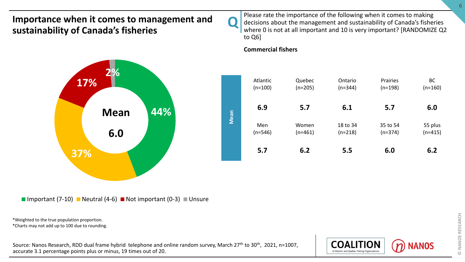**2%**

**Mean**

**6.0**



Please rate the importance of the following when it comes to making decisions about the management and sustainability of Canada's fisheries where 0 is not at all important and 10 is very important? [RANDOMIZE Q2 to Q6]

### **Commercial fishers**



Important (7-10) Neutral (4-6) Not important (0-3) Unsure

\*Weighted to the true population proportion.

\*Charts may not add up to 100 due to rounding.

**37%**

**17%**

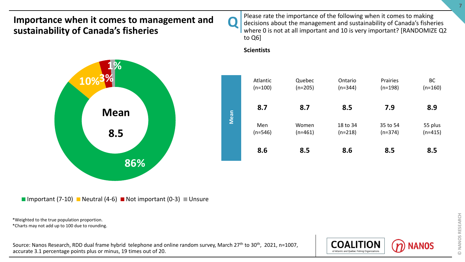**1%**

**Mean**

**8.5**

**10%3%**



Please rate the importance of the following when it comes to making decisions about the management and sustainability of Canada's fisheries where 0 is not at all important and 10 is very important? [RANDOMIZE Q2 to Q6]

#### **Scientists**





**86%**

\*Weighted to the true population proportion.

\*Charts may not add up to 100 due to rounding.

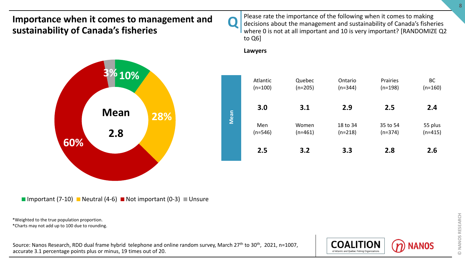**10% 3%**

**Mean**

**2.8**



Please rate the importance of the following when it comes to making decisions about the management and sustainability of Canada's fisheries where 0 is not at all important and 10 is very important? [RANDOMIZE Q2 to Q6]

**Lawyers**





\*Weighted to the true population proportion.

\*Charts may not add up to 100 due to rounding.

**60%**

Source: Nanos Research, RDD dual frame hybrid telephone and online random survey, March 27<sup>th</sup> to 30<sup>th</sup>, 2021, n=1007, accurate 3.1 percentage points plus or minus, 19 times out of 20.

**28%**

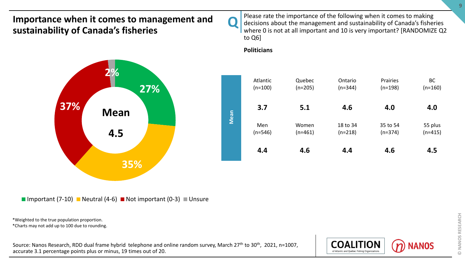**2%**

**Mean**

**4.5**



Please rate the importance of the following when it comes to making decisions about the management and sustainability of Canada's fisheries where 0 is not at all important and 10 is very important? [RANDOMIZE Q2 to Q6]

### **Politicians**



Important (7-10) Neutral (4-6) Not important (0-3) Unsure

**35%**

\*Weighted to the true population proportion.

\*Charts may not add up to 100 due to rounding.

**37%**

Source: Nanos Research, RDD dual frame hybrid telephone and online random survey, March 27<sup>th</sup> to 30<sup>th</sup>, 2021, n=1007, accurate 3.1 percentage points plus or minus, 19 times out of 20.

**27%**

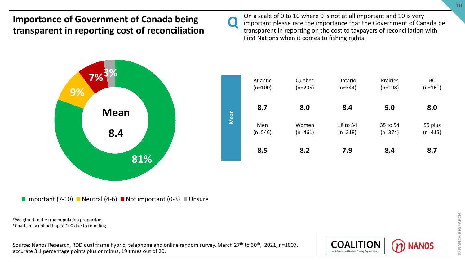### **Importance of Government of Canada being transparent in reporting cost of reconciliation**



On a scale of 0 to 10 where 0 is not at all important and 10 is very important please rate the importance that the Government of Canada be transparent in reporting on the cost to taxpayers of reconciliation with First Nations when it comes to fishing rights.



Important (7-10) Neutral (4-6) Not important (0-3) Unsure

\*Weighted to the true population proportion.

\*Charts may not add up to 100 due to rounding.

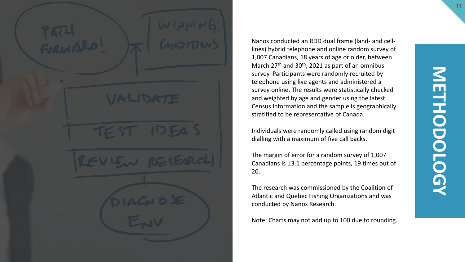Nanos conducted an RDD dual frame (land- and celllines) hybrid telephone and online random survey of 1,007 Canadians, 18 years of age or older, between March 27<sup>th</sup> and 30<sup>th</sup>, 2021 as part of an omnibus survey. Participants were randomly recruited by telephone using live agents and administered a survey online. The results were statistically checked and weighted by age and gender using the latest Census information and the sample is geographically stratified to be representative of Canada.

Individuals were randomly called using random digit dialling with a maximum of five call backs.

The margin of error for a random survey of 1,007 Canadians is ±3.1 percentage points, 19 times out of 20.

The research was commissioned by the Coalition of Atlantic and Quebec Fishing Organizations and was conducted by Nanos Research.

Note: Charts may not add up to 100 due to rounding.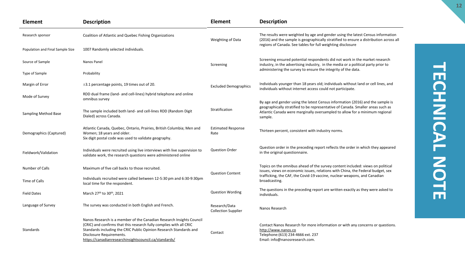| Element                          | <b>Description</b>                                                                                                                                                                                                                                                                                     | <b>Element</b>                              | <b>Description</b>                                                                                                                                                                                                                                          |
|----------------------------------|--------------------------------------------------------------------------------------------------------------------------------------------------------------------------------------------------------------------------------------------------------------------------------------------------------|---------------------------------------------|-------------------------------------------------------------------------------------------------------------------------------------------------------------------------------------------------------------------------------------------------------------|
| Research sponsor                 | Coalition of Atlantic and Quebec Fishing Organizations                                                                                                                                                                                                                                                 | Weighting of Data                           | The results were weighted by age and gender using the latest Census information<br>(2016) and the sample is geographically stratified to ensure a distribution across all                                                                                   |
| Population and Final Sample Size | 1007 Randomly selected individuals.                                                                                                                                                                                                                                                                    |                                             | regions of Canada. See tables for full weighting disclosure                                                                                                                                                                                                 |
| Source of Sample                 | Nanos Panel                                                                                                                                                                                                                                                                                            | Screening                                   | Screening ensured potential respondents did not work in the market research<br>industry, in the advertising industry, in the media or a political party prior to                                                                                            |
| Type of Sample                   | Probability                                                                                                                                                                                                                                                                                            |                                             | administering the survey to ensure the integrity of the data.                                                                                                                                                                                               |
| Margin of Error                  | $\pm$ 3.1 percentage points, 19 times out of 20.                                                                                                                                                                                                                                                       | <b>Excluded Demographics</b>                | Individuals younger than 18 years old; individuals without land or cell lines, and<br>individuals without internet access could not participate.                                                                                                            |
| Mode of Survey                   | RDD dual frame (land- and cell-lines) hybrid telephone and online<br>omnibus survey                                                                                                                                                                                                                    |                                             |                                                                                                                                                                                                                                                             |
| Sampling Method Base             | The sample included both land- and cell-lines RDD (Random Digit<br>Dialed) across Canada.                                                                                                                                                                                                              | Stratification                              | By age and gender using the latest Census information (2016) and the sample is<br>geographically stratified to be representative of Canada. Smaller areas such as<br>Atlantic Canada were marginally oversampled to allow for a minimum regional<br>sample. |
| Demographics (Captured)          | Atlantic Canada, Quebec, Ontario, Prairies, British Columbia; Men and<br>Women; 18 years and older.<br>Six digit postal code was used to validate geography.                                                                                                                                           | <b>Estimated Response</b><br>Rate           | Thirteen percent, consistent with industry norms.                                                                                                                                                                                                           |
| Fieldwork/Validation             | Individuals were recruited using live interviews with live supervision to<br>validate work, the research questions were administered online                                                                                                                                                            | <b>Question Order</b>                       | Question order in the preceding report reflects the order in which they appeared<br>in the original questionnaire.                                                                                                                                          |
| Number of Calls                  | Maximum of five call backs to those recruited.                                                                                                                                                                                                                                                         |                                             | Topics on the omnibus ahead of the survey content included: views on political<br>issues, views on economic issues, relations with China, the Federal budget, sex                                                                                           |
| Time of Calls                    | Individuals recruited were called between 12-5:30 pm and 6:30-9:30 pm<br>local time for the respondent.                                                                                                                                                                                                | <b>Question Content</b>                     | trafficking, the CAF, the Covid-19 vaccine, nuclear weapons, and Canadian<br>broadcasting.                                                                                                                                                                  |
| <b>Field Dates</b>               | March 27 <sup>th</sup> to 30 <sup>th</sup> , 2021                                                                                                                                                                                                                                                      | <b>Question Wording</b>                     | The questions in the preceding report are written exactly as they were asked to<br>individuals.                                                                                                                                                             |
| Language of Survey               | The survey was conducted in both English and French.                                                                                                                                                                                                                                                   | Research/Data<br><b>Collection Supplier</b> | Nanos Research                                                                                                                                                                                                                                              |
| Standards                        | Nanos Research is a member of the Canadian Research Insights Council<br>(CRIC) and confirms that this research fully complies with all CRIC<br>Standards including the CRIC Public Opinion Research Standards and<br>Disclosure Requirements.<br>https://canadianresearchinsightscouncil.ca/standards/ | Contact                                     | Contact Nanos Research for more information or with any concerns or questions.<br>http://www.nanos.co<br>Telephone: (613) 234-4666 ext. 237<br>Email: info@nanosresearch.com.                                                                               |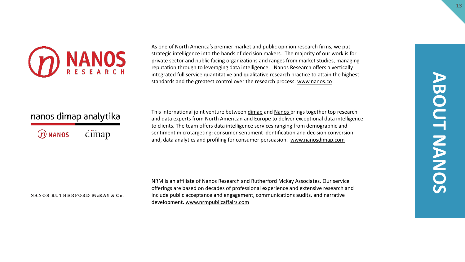

As one of North America's premier market and public opinion research firms, we put strategic intelligence into the hands of decision makers. The majority of our work is for private sector and public facing organizations and ranges from market studies, managing reputation through to leveraging data intelligence. Nanos Research offers a vertically integrated full service quantitative and qualitative research practice to attain the highest standards and the greatest control over the research process. [www.nanos.co](http://www.nanos.co/)

### nanos dimap analytika

| ${\cal D}$ NANOS | dimap |
|------------------|-------|
|------------------|-------|

This international joint venture between [dimap](http://dimap.de/en/HOMEen) and [Nanos](http://nanos.co/) brings together top research and data experts from North American and Europe to deliver exceptional data intelligence to clients. The team offers data intelligence services ranging from demographic and sentiment microtargeting; consumer sentiment identification and decision conversion; and, data analytics and profiling for consumer persuasion. [www.nanosdimap.com](http://www.nanosdimap.com/)

#### NANOS RUTHERFORD McKAY & Co.

NRM is an affiliate of Nanos Research and Rutherford McKay Associates. Our service offerings are based on decades of professional experience and extensive research and include public acceptance and engagement, communications audits, and narrative development. [www.nrmpublicaffairs.com](http://nrmpublicaffairs.com/index.html)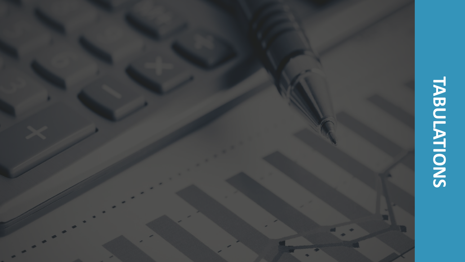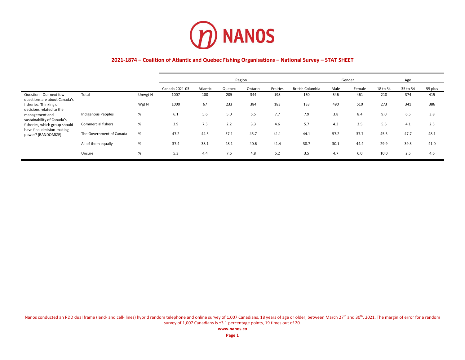

|                                                                                           |                           |         | Region         |          |        |         |          |                         |      | Gender |          | Age      |         |
|-------------------------------------------------------------------------------------------|---------------------------|---------|----------------|----------|--------|---------|----------|-------------------------|------|--------|----------|----------|---------|
|                                                                                           |                           |         | Canada 2021-03 | Atlantic | Quebec | Ontario | Prairies | <b>British Columbia</b> | Male | Female | 18 to 34 | 35 to 54 | 55 plus |
| Question - Our next few<br>questions are about Canada's                                   | Total                     | Unwgt N | 1007           | 100      | 205    | 344     | 198      | 160                     | 546  | 461    | 218      | 374      | 415     |
| fisheries. Thinking of<br>decisions related to the                                        |                           | Wgt N   | 1000           | 67       | 233    | 384     | 183      | 133                     | 490  | 510    | 273      | 341      | 386     |
| management and                                                                            | <b>Indigenous Peoples</b> | %       | 6.1            | 5.6      | 5.0    | 5.5     | 7.7      | 7.9                     | 3.8  | 8.4    | 9.0      | 6.5      | 3.8     |
| sustainability of Canada's<br>fisheries, which group should<br>have final decision-making | <b>Commercial fishers</b> | %       | 3.9            | 7.5      | 2.2    | 3.3     | 4.6      | 5.7                     | 4.3  | 3.5    | 5.6      | 4.1      | 2.5     |
| power? [RANDOMIZE]                                                                        | The Government of Canada  | %       | 47.2           | 44.5     | 57.1   | 45.7    | 41.1     | 44.1                    | 57.2 | 37.7   | 45.5     | 47.7     | 48.1    |
|                                                                                           | All of them equally       | %       | 37.4           | 38.1     | 28.1   | 40.6    | 41.4     | 38.7                    | 30.1 | 44.4   | 29.9     | 39.3     | 41.0    |
|                                                                                           | Unsure                    | %       | 5.3            | 4.4      | 7.6    | 4.8     | 5.2      | 3.5                     | 4.7  | 6.0    | 10.0     | 2.5      | 4.6     |

Nanos conducted an RDD dual frame (land- and cell- lines) hybrid random telephone and online survey of 1,007 Canadians, 18 years of age or older, between March 27th and 30th, 2021. The margin of error for a random survey of 1,007 Canadians is ±3.1 percentage points, 19 times out of 20.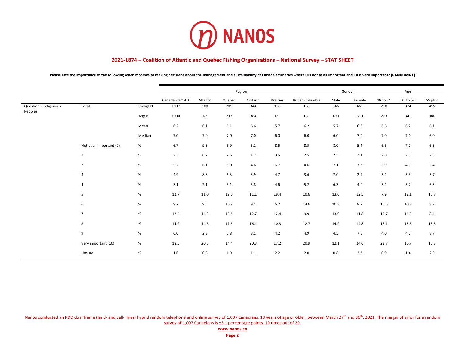

Please rate the importance of the following when it comes to making decisions about the management and sustainability of Canada's fisheries where 0 is not at all important and 10 is very important? [RANDOMIZE]

|                                  |                          |         |                |          |         | Region  |          |                         |      | Gender |          |          |         |
|----------------------------------|--------------------------|---------|----------------|----------|---------|---------|----------|-------------------------|------|--------|----------|----------|---------|
|                                  |                          |         | Canada 2021-03 | Atlantic | Quebec  | Ontario | Prairies | <b>British Columbia</b> | Male | Female | 18 to 34 | 35 to 54 | 55 plus |
| Question - Indigenous<br>Peoples | Total                    | Unwgt N | 1007           | 100      | 205     | 344     | 198      | 160                     | 546  | 461    | 218      | 374      | 415     |
|                                  |                          | Wgt N   | 1000           | 67       | 233     | 384     | 183      | 133                     | 490  | 510    | 273      | 341      | 386     |
|                                  |                          | Mean    | $6.2$          | $6.1\,$  | $6.1\,$ | 6.6     | 5.7      | $6.2$                   | 5.7  | 6.8    | 6.6      | $6.2$    | $6.1\,$ |
|                                  |                          | Median  | 7.0            | 7.0      | 7.0     | 7.0     | $6.0$    | $6.0\,$                 | 6.0  | 7.0    | 7.0      | 7.0      | 6.0     |
|                                  | Not at all important (0) | %       | 6.7            | 9.3      | 5.9     | 5.1     | 8.6      | 8.5                     | 8.0  | 5.4    | 6.5      | 7.2      | 6.3     |
|                                  | $\mathbf{1}$             | $\%$    | 2.3            | 0.7      | 2.6     | 1.7     | 3.5      | 2.5                     | 2.5  | 2.1    | 2.0      | 2.5      | 2.3     |
|                                  | $\overline{2}$           | $\%$    | 5.2            | $6.1\,$  | 5.0     | 4.6     | 6.7      | 4.6                     | 7.1  | 3.3    | 5.9      | 4.3      | 5.4     |
|                                  | 3                        | $\%$    | 4.9            | 8.8      | 6.3     | 3.9     | 4.7      | 3.6                     | 7.0  | 2.9    | 3.4      | 5.3      | 5.7     |
|                                  | 4                        | %       | 5.1            | 2.1      | 5.1     | 5.8     | 4.6      | $5.2$                   | 6.3  | 4.0    | 3.4      | 5.2      | 6.3     |
|                                  | 5                        | $\%$    | 12.7           | 11.0     | 12.0    | 11.1    | 19.4     | 10.6                    | 13.0 | 12.5   | 7.9      | 12.1     | 16.7    |
|                                  | 6                        | $\%$    | 9.7            | 9.5      | 10.8    | 9.1     | $6.2$    | 14.6                    | 10.8 | 8.7    | 10.5     | 10.8     | 8.2     |
|                                  | $\overline{7}$           | $\%$    | 12.4           | 14.2     | 12.8    | 12.7    | 12.4     | 9.9                     | 13.0 | 11.8   | 15.7     | 14.3     | 8.4     |
|                                  | 8                        | $\%$    | 14.9           | 14.6     | 17.3    | 16.4    | 10.3     | 12.7                    | 14.9 | 14.8   | 16.1     | 15.6     | 13.5    |
|                                  | 9                        | $\%$    | $6.0\,$        | 2.3      | 5.8     | 8.1     | 4.2      | 4.9                     | 4.5  | 7.5    | 4.0      | 4.7      | 8.7     |
|                                  | Very important (10)      | %       | 18.5           | 20.5     | 14.4    | 20.3    | 17.2     | 20.9                    | 12.1 | 24.6   | 23.7     | 16.7     | 16.3    |
|                                  | Unsure                   | $\%$    | 1.6            | $0.8\,$  | 1.9     | 1.1     | 2.2      | 2.0                     | 0.8  | 2.3    | 0.9      | 1.4      | 2.3     |

Nanos conducted an RDD dual frame (land- and cell- lines) hybrid random telephone and online survey of 1,007 Canadians, 18 years of age or older, between March 27<sup>th</sup> and 30<sup>th</sup>, 2021. The margin of error for a random survey of 1,007 Canadians is ±3.1 percentage points, 19 times out of 20.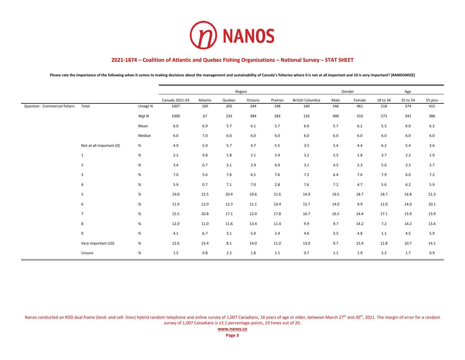

Please rate the importance of the following when it comes to making decisions about the management and sustainability of Canada's fisheries where 0 is not at all important and 10 is very important? [RANDOMIZE]

|                               |                          |         |                |          |        | Region  |          |                         |      | Gender |          | Age      |         |
|-------------------------------|--------------------------|---------|----------------|----------|--------|---------|----------|-------------------------|------|--------|----------|----------|---------|
|                               |                          |         | Canada 2021-03 | Atlantic | Quebec | Ontario | Prairies | <b>British Columbia</b> | Male | Female | 18 to 34 | 35 to 54 | 55 plus |
| Question - Commercial fishers | Total                    | Unwgt N | 1007           | 100      | 205    | 344     | 198      | 160                     | 546  | 461    | 218      | 374      | 415     |
|                               |                          | Wgt N   | 1000           | 67       | 233    | 384     | 183      | 133                     | 490  | 510    | 273      | 341      | 386     |
|                               |                          | Mean    | $6.0\,$        | 6.9      | 5.7    | 6.1     | 5.7      | 6.0                     | 5.7  | $6.2$  | 5.5      | 6.0      | $6.2$   |
|                               |                          | Median  | 6.0            | 7.0      | 6.0    | 6.0     | $6.0$    | $6.0$                   | 6.0  | 6.0    | 6.0      | 6.0      | 6.0     |
|                               | Not at all important (0) | %       | 4.9            | 5.0      | 5.7    | 4.7     | 5.5      | 3.5                     | 5.4  | 4.4    | $6.2$    | 5.4      | 3.6     |
|                               | $\mathbf{1}$             | $\%$    | 2.2            | 0.8      | 1.8    | 2.1     | 2.4      | 3.2                     | 2.5  | 1.8    | 3.7      | 2.2      | 1.0     |
|                               | $\overline{2}$           | $\%$    | 3.4            | 0.7      | 3.1    | 2.9     | $6.0$    | 3.1                     | 4.5  | 2.3    | 5.6      | 2.3      | 2.7     |
|                               | 3                        | $\%$    | 7.0            | 5.6      | 7.6    | 6.5     | 7.6      | 7.2                     | 6.4  | 7.6    | 7.9      | $6.0\,$  | 7.2     |
|                               | 4                        | %       | 5.9            | 0.7      | 7.1    | 7.0     | 2.8      | 7.6                     | 7.2  | 4.7    | 5.6      | 6.2      | 5.9     |
|                               | 5                        | $\%$    | 19.0           | 12.5     | 20.4   | 19.6    | 21.6     | 14.9                    | 19.5 | 18.7   | 18.7     | 16.8     | 21.3    |
|                               | 6                        | $\%$    | 11.9           | 12.0     | 12.3   | 11.1    | 10.4     | 15.7                    | 14.0 | 9.9    | 12.0     | 14.0     | 10.1    |
|                               | $\overline{7}$           | $\%$    | 15.5           | 20.8     | 17.1   | 12.0    | 17.8     | 16.7                    | 16.5 | 14.4   | 17.1     | 15.9     | 13.9    |
|                               | 8                        | $\%$    | 12.0           | 11.0     | 11.6   | 13.4    | 11.4     | 9.9                     | 9.7  | 14.2   | 7.2      | 14.2     | 13.4    |
|                               | 9                        | $\%$    | 4.1            | 6.7      | 3.1    | 5.0     | 2.4      | 4.6                     | 3.5  | 4.8    | 1.1      | 4.5      | 5.9     |
|                               | Very important (10)      | %       | 12.6           | 23.4     | 8.1    | 14.0    | 11.0     | 13.0                    | 9.7  | 15.4   | 12.8     | 10.7     | 14.1    |
|                               | Unsure                   | $\%$    | 1.5            | $0.8\,$  | 2.2    | 1.8     | 1.1      | 0.7                     | 1.1  | 1.9    | 2.2      | 1.7      | 0.9     |

Nanos conducted an RDD dual frame (land- and cell- lines) hybrid random telephone and online survey of 1,007 Canadians, 18 years of age or older, between March 27<sup>th</sup> and 30<sup>th</sup>, 2021. The margin of error for a random survey of 1,007 Canadians is ±3.1 percentage points, 19 times out of 20.

**[www.nanos.co](http://www.nanosresearch.com/)**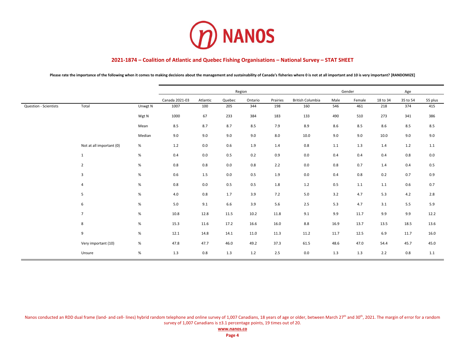

Please rate the importance of the following when it comes to making decisions about the management and sustainability of Canada's fisheries where 0 is not at all important and 10 is very important? [RANDOMIZE]

|                       |                          |         |                |          |        | Region  |          |                  |      | Gender  |          | Age      |         |
|-----------------------|--------------------------|---------|----------------|----------|--------|---------|----------|------------------|------|---------|----------|----------|---------|
|                       |                          |         | Canada 2021-03 | Atlantic | Quebec | Ontario | Prairies | British Columbia | Male | Female  | 18 to 34 | 35 to 54 | 55 plus |
| Question - Scientists | Total                    | Unwgt N | 1007           | 100      | 205    | 344     | 198      | 160              | 546  | 461     | 218      | 374      | 415     |
|                       |                          | Wgt N   | 1000           | 67       | 233    | 384     | 183      | 133              | 490  | 510     | 273      | 341      | 386     |
|                       |                          | Mean    | 8.5            | 8.7      | 8.7    | 8.5     | 7.9      | 8.9              | 8.6  | 8.5     | 8.6      | 8.5      | 8.5     |
|                       |                          | Median  | 9.0            | 9.0      | 9.0    | 9.0     | 8.0      | 10.0             | 9.0  | 9.0     | 10.0     | 9.0      | 9.0     |
|                       | Not at all important (0) | %       | 1.2            | 0.0      | 0.6    | 1.9     | 1.4      | 0.8              | 1.1  | 1.3     | $1.4$    | 1.2      | $1.1\,$ |
|                       | $\mathbf{1}$             | $\%$    | 0.4            | 0.0      | 0.5    | 0.2     | 0.9      | 0.0              | 0.4  | 0.4     | 0.4      | 0.8      | 0.0     |
|                       | $\overline{2}$           | $\%$    | 0.8            | 0.8      | 0.0    | 0.8     | 2.2      | 0.0              | 0.8  | 0.7     | 1.4      | 0.4      | 0.5     |
|                       | 3                        | $\%$    | 0.6            | 1.5      | 0.0    | 0.5     | 1.9      | 0.0              | 0.4  | 0.8     | 0.2      | 0.7      | 0.9     |
|                       | 4                        | %       | 0.8            | $0.0\,$  | 0.5    | 0.5     | 1.8      | $1.2$            | 0.5  | $1.1\,$ | $1.1\,$  | 0.6      | 0.7     |
|                       | 5                        | $\%$    | 4.0            | $0.8\,$  | 1.7    | 3.9     | 7.2      | $5.0\,$          | 3.2  | 4.7     | 5.3      | 4.2      | 2.8     |
|                       | 6                        | %       | 5.0            | 9.1      | 6.6    | 3.9     | 5.6      | $2.5\,$          | 5.3  | 4.7     | 3.1      | 5.5      | 5.9     |
|                       | $\overline{7}$           | %       | 10.8           | 12.8     | 11.5   | 10.2    | 11.8     | 9.1              | 9.9  | 11.7    | 9.9      | 9.9      | 12.2    |
|                       | 8                        | $\%$    | 15.3           | 11.6     | 17.2   | 16.6    | 16.0     | 8.8              | 16.9 | 13.7    | 13.5     | 18.5     | 13.6    |
|                       | 9                        | $\%$    | 12.1           | 14.8     | 14.1   | 11.0    | 11.3     | 11.2             | 11.7 | 12.5    | 6.9      | 11.7     | 16.0    |
|                       | Very important (10)      | %       | 47.8           | 47.7     | 46.0   | 49.2    | 37.3     | 61.5             | 48.6 | 47.0    | 54.4     | 45.7     | 45.0    |
|                       | Unsure                   | $\%$    | 1.3            | 0.8      | 1.3    | 1.2     | 2.5      | 0.0              | 1.3  | 1.3     | 2.2      | 0.8      | 1.1     |

Nanos conducted an RDD dual frame (land- and cell- lines) hybrid random telephone and online survey of 1,007 Canadians, 18 years of age or older, between March 27<sup>th</sup> and 30<sup>th</sup>, 2021. The margin of error for a random survey of 1,007 Canadians is ±3.1 percentage points, 19 times out of 20.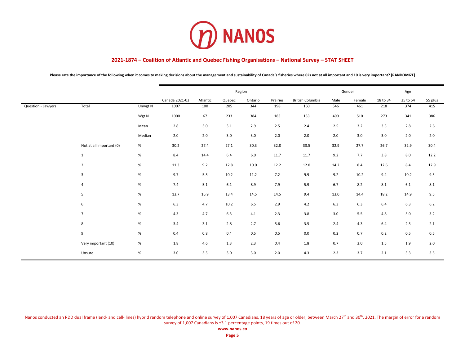

Please rate the importance of the following when it comes to making decisions about the management and sustainability of Canada's fisheries where 0 is not at all important and 10 is very important? [RANDOMIZE]

|                    |                          |         |                |          |        | Region  |          |                         |      | Gender |          | Age      |         |
|--------------------|--------------------------|---------|----------------|----------|--------|---------|----------|-------------------------|------|--------|----------|----------|---------|
|                    |                          |         | Canada 2021-03 | Atlantic | Quebec | Ontario | Prairies | <b>British Columbia</b> | Male | Female | 18 to 34 | 35 to 54 | 55 plus |
| Question - Lawyers | Total                    | Unwgt N | 1007           | 100      | 205    | 344     | 198      | 160                     | 546  | 461    | 218      | 374      | 415     |
|                    |                          | Wgt N   | 1000           | 67       | 233    | 384     | 183      | 133                     | 490  | 510    | 273      | 341      | 386     |
|                    |                          | Mean    | 2.8            | 3.0      | 3.1    | 2.9     | 2.5      | 2.4                     | 2.5  | 3.2    | 3.3      | 2.8      | 2.6     |
|                    |                          | Median  | 2.0            | 2.0      | 3.0    | 3.0     | 2.0      | 2.0                     | 2.0  | 3.0    | 3.0      | 2.0      | 2.0     |
|                    | Not at all important (0) | %       | 30.2           | 27.4     | 27.1   | 30.3    | 32.8     | 33.5                    | 32.9 | 27.7   | 26.7     | 32.9     | 30.4    |
|                    | $\mathbf{1}$             | $\%$    | 8.4            | 14.4     | 6.4    | 6.0     | 11.7     | 11.7                    | 9.2  | 7.7    | 3.8      | 8.0      | 12.2    |
|                    | $\overline{2}$           | $\%$    | 11.3           | 9.2      | 12.8   | 10.0    | 12.2     | 12.0                    | 14.2 | 8.4    | 12.6     | 8.4      | 12.9    |
|                    | 3                        | %       | 9.7            | 5.5      | 10.2   | 11.2    | 7.2      | 9.9                     | 9.2  | 10.2   | 9.4      | 10.2     | 9.5     |
|                    | 4                        | $\%$    | 7.4            | 5.1      | 6.1    | 8.9     | 7.9      | 5.9                     | 6.7  | 8.2    | 8.1      | 6.1      | 8.1     |
|                    | 5                        | $\%$    | 13.7           | 16.9     | 13.4   | 14.5    | 14.5     | 9.4                     | 13.0 | 14.4   | 18.2     | 14.9     | 9.5     |
|                    | 6                        | %       | 6.3            | 4.7      | 10.2   | 6.5     | 2.9      | 4.2                     | 6.3  | 6.3    | 6.4      | 6.3      | $6.2$   |
|                    | $\overline{7}$           | $\%$    | 4.3            | 4.7      | 6.3    | 4.1     | 2.3      | 3.8                     | 3.0  | 5.5    | 4.8      | 5.0      | 3.2     |
|                    | 8                        | $\%$    | 3.4            | 3.1      | 2.8    | 2.7     | 5.6      | 3.5                     | 2.4  | 4.3    | 6.4      | 2.5      | 2.1     |
|                    | 9                        | $\%$    | 0.4            | 0.8      | 0.4    | 0.5     | 0.5      | 0.0                     | 0.2  | 0.7    | 0.2      | 0.5      | 0.5     |
|                    | Very important (10)      | $\%$    | 1.8            | 4.6      | 1.3    | 2.3     | 0.4      | 1.8                     | 0.7  | 3.0    | 1.5      | 1.9      | 2.0     |
|                    | Unsure                   | $\%$    | 3.0            | 3.5      | 3.0    | 3.0     | 2.0      | 4.3                     | 2.3  | 3.7    | 2.1      | 3.3      | 3.5     |

Nanos conducted an RDD dual frame (land- and cell- lines) hybrid random telephone and online survey of 1,007 Canadians, 18 years of age or older, between March 27<sup>th</sup> and 30<sup>th</sup>, 2021. The margin of error for a random survey of 1,007 Canadians is ±3.1 percentage points, 19 times out of 20.

**[www.nanos.co](http://www.nanosresearch.com/)**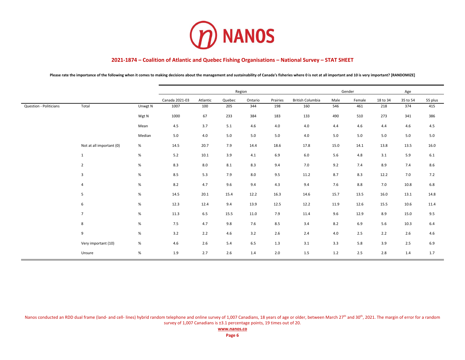

Please rate the importance of the following when it comes to making decisions about the management and sustainability of Canada's fisheries where 0 is not at all important and 10 is very important? [RANDOMIZE]

|                        |                          |         |                |          |        | Region  |          |                         |      | Gender |          | Age      |         |
|------------------------|--------------------------|---------|----------------|----------|--------|---------|----------|-------------------------|------|--------|----------|----------|---------|
|                        |                          |         | Canada 2021-03 | Atlantic | Quebec | Ontario | Prairies | <b>British Columbia</b> | Male | Female | 18 to 34 | 35 to 54 | 55 plus |
| Question - Politicians | Total                    | Unwgt N | 1007           | 100      | 205    | 344     | 198      | 160                     | 546  | 461    | 218      | 374      | 415     |
|                        |                          | Wgt N   | 1000           | 67       | 233    | 384     | 183      | 133                     | 490  | 510    | 273      | 341      | 386     |
|                        |                          | Mean    | 4.5            | 3.7      | 5.1    | 4.6     | 4.0      | 4.0                     | 4.4  | 4.6    | 4.4      | 4.6      | 4.5     |
|                        |                          | Median  | 5.0            | $4.0\,$  | 5.0    | 5.0     | 5.0      | $4.0\,$                 | 5.0  | 5.0    | 5.0      | 5.0      | 5.0     |
|                        | Not at all important (0) | %       | 14.5           | 20.7     | 7.9    | 14.4    | 18.6     | 17.8                    | 15.0 | 14.1   | 13.8     | 13.5     | 16.0    |
|                        | $\mathbf{1}$             | $\%$    | 5.2            | 10.1     | 3.9    | 4.1     | 6.9      | 6.0                     | 5.6  | 4.8    | 3.1      | 5.9      | 6.1     |
|                        | $\overline{2}$           | $\%$    | 8.3            | 8.0      | 8.1    | 8.3     | 9.4      | 7.0                     | 9.2  | 7.4    | 8.9      | 7.4      | 8.6     |
|                        | 3                        | $\%$    | 8.5            | 5.3      | 7.9    | 8.0     | 9.5      | 11.2                    | 8.7  | 8.3    | 12.2     | 7.0      | 7.2     |
|                        | 4                        | $\%$    | 8.2            | 4.7      | 9.6    | 9.4     | 4.3      | 9.4                     | 7.6  | 8.8    | 7.0      | 10.8     | 6.8     |
|                        | 5                        | $\%$    | 14.5           | 20.1     | 15.4   | 12.2    | 16.3     | 14.6                    | 15.7 | 13.5   | 16.0     | 13.1     | 14.8    |
|                        | 6                        | $\%$    | 12.3           | 12.4     | 9.4    | 13.9    | 12.5     | 12.2                    | 11.9 | 12.6   | 15.5     | 10.6     | 11.4    |
|                        | $\overline{7}$           | $\%$    | 11.3           | 6.5      | 15.5   | 11.0    | 7.9      | 11.4                    | 9.6  | 12.9   | 8.9      | 15.0     | 9.5     |
|                        | 8                        | $\%$    | 7.5            | 4.7      | 9.8    | 7.6     | 8.5      | 3.4                     | 8.2  | 6.9    | 5.6      | 10.3     | 6.4     |
|                        | 9                        | $\%$    | 3.2            | 2.2      | 4.6    | 3.2     | 2.6      | 2.4                     | 4.0  | 2.5    | 2.2      | 2.6      | 4.6     |
|                        | Very important (10)      | $\%$    | 4.6            | 2.6      | 5.4    | 6.5     | 1.3      | 3.1                     | 3.3  | 5.8    | 3.9      | 2.5      | 6.9     |
|                        | Unsure                   | $\%$    | 1.9            | 2.7      | 2.6    | 1.4     | 2.0      | 1.5                     | 1.2  | 2.5    | 2.8      | 1.4      | 1.7     |

Nanos conducted an RDD dual frame (land- and cell- lines) hybrid random telephone and online survey of 1,007 Canadians, 18 years of age or older, between March 27<sup>th</sup> and 30<sup>th</sup>, 2021. The margin of error for a random survey of 1,007 Canadians is ±3.1 percentage points, 19 times out of 20.